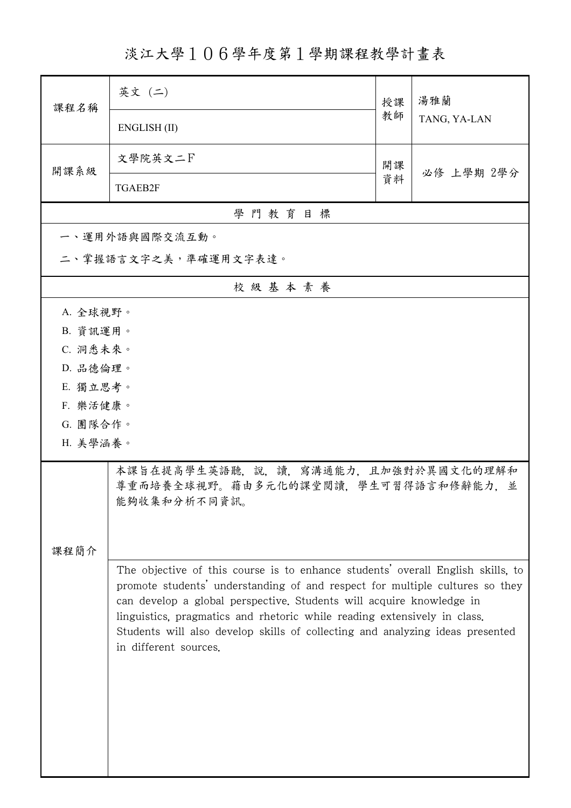淡江大學106學年度第1學期課程教學計畫表

| 課程名稱                 | 英文 (二)                                                                                                                                                                                                                                                                                                                                                                                                                        | 授課 | 湯雅蘭<br>TANG, YA-LAN |
|----------------------|-------------------------------------------------------------------------------------------------------------------------------------------------------------------------------------------------------------------------------------------------------------------------------------------------------------------------------------------------------------------------------------------------------------------------------|----|---------------------|
|                      | ENGLISH (II)                                                                                                                                                                                                                                                                                                                                                                                                                  | 教師 |                     |
| 開課系級                 | 文學院英文二下                                                                                                                                                                                                                                                                                                                                                                                                                       | 開課 | 必修 上學期 2學分          |
|                      | <b>TGAEB2F</b>                                                                                                                                                                                                                                                                                                                                                                                                                | 資料 |                     |
|                      | 學門教育目標                                                                                                                                                                                                                                                                                                                                                                                                                        |    |                     |
|                      | 一、運用外語與國際交流互動。                                                                                                                                                                                                                                                                                                                                                                                                                |    |                     |
| 二、掌握語言文字之美,準確運用文字表達。 |                                                                                                                                                                                                                                                                                                                                                                                                                               |    |                     |
|                      | 校級基本素養                                                                                                                                                                                                                                                                                                                                                                                                                        |    |                     |
| A. 全球視野。             |                                                                                                                                                                                                                                                                                                                                                                                                                               |    |                     |
| B. 資訊運用。             |                                                                                                                                                                                                                                                                                                                                                                                                                               |    |                     |
| C. 洞悉未來。             |                                                                                                                                                                                                                                                                                                                                                                                                                               |    |                     |
| D. 品德倫理。             |                                                                                                                                                                                                                                                                                                                                                                                                                               |    |                     |
| E. 獨立思考。             |                                                                                                                                                                                                                                                                                                                                                                                                                               |    |                     |
| F. 樂活健康。             |                                                                                                                                                                                                                                                                                                                                                                                                                               |    |                     |
| G. 團隊合作。             |                                                                                                                                                                                                                                                                                                                                                                                                                               |    |                     |
| H. 美學涵養。             |                                                                                                                                                                                                                                                                                                                                                                                                                               |    |                     |
|                      | 本課旨在提高學生英語聽,說,讀,寫溝通能力,且加強對於異國文化的理解和<br>尊重而培養全球視野。藉由多元化的課堂閱讀,學生可習得語言和修辭能力,並<br>能夠收集和分析不同資訊。                                                                                                                                                                                                                                                                                                                                    |    |                     |
|                      |                                                                                                                                                                                                                                                                                                                                                                                                                               |    |                     |
| 課程簡介                 |                                                                                                                                                                                                                                                                                                                                                                                                                               |    |                     |
|                      | The objective of this course is to enhance students' overall English skills, to<br>promote students' understanding of and respect for multiple cultures so they<br>can develop a global perspective. Students will acquire knowledge in<br>linguistics, pragmatics and rhetoric while reading extensively in class.<br>Students will also develop skills of collecting and analyzing ideas presented<br>in different sources. |    |                     |
|                      |                                                                                                                                                                                                                                                                                                                                                                                                                               |    |                     |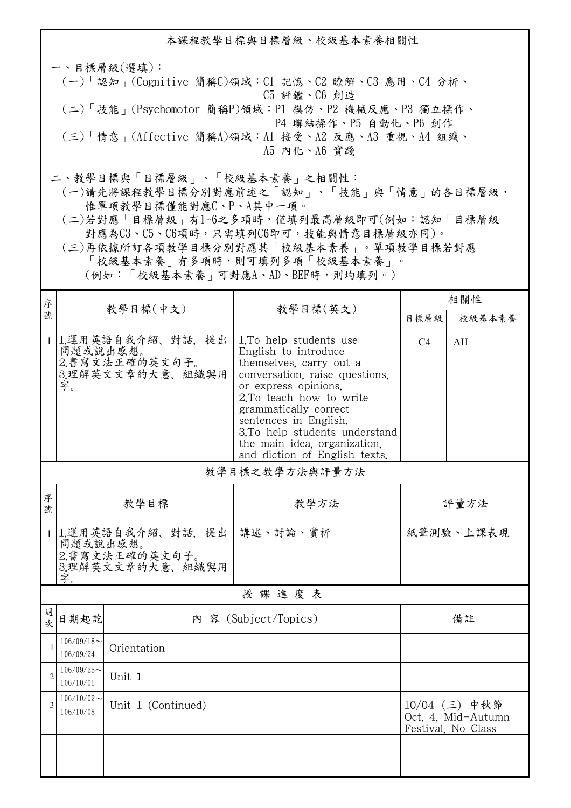本課程教學目標與目標層級、校級基本素養相關性 一、目標層級(選填): (一)「認知」(Cognitive 簡稱C)領域:C1 記憶、C2 瞭解、C3 應用、C4 分析、 C5 評鑑、C6 創造 (二)「技能」(Psychomotor 簡稱P)領域:P1 模仿、P2 機械反應、P3 獨立操作、 P4 聯結操作、P5 自動化、P6 創作 (三)「情意」(Affective 簡稱A)領域:A1 接受、A2 反應、A3 重視、A4 組織、 A5 內化、A6 實踐 二、教學目標與「目標層級」、「校級基本素養」之相關性:

 (一)請先將課程教學目標分別對應前述之「認知」、「技能」與「情意」的各目標層級, 惟單項教學目標僅能對應C、P、A其中一項。

 (二)若對應「目標層級」有1~6之多項時,僅填列最高層級即可(例如:認知「目標層級」 對應為C3、C5、C6項時,只需填列C6即可,技能與情意目標層級亦同)。

 (三)再依據所訂各項教學目標分別對應其「校級基本素養」。單項教學目標若對應 「校級基本素養」有多項時,則可填列多項「校級基本素養」。 (例如:「校級基本素養」可對應A、AD、BEF時,則均填列。)

| 序              |                                                                          |                                                        |                                                                                                                                                                                                                                                                                                                     | 相關性            |                                                           |  |  |
|----------------|--------------------------------------------------------------------------|--------------------------------------------------------|---------------------------------------------------------------------------------------------------------------------------------------------------------------------------------------------------------------------------------------------------------------------------------------------------------------------|----------------|-----------------------------------------------------------|--|--|
| 號              |                                                                          | 教學目標(中文)                                               | 教學目標(英文)                                                                                                                                                                                                                                                                                                            | 目標層級           | 校級基本素養                                                    |  |  |
| $\mathbf{1}$   | 問題或說出感想。<br>字。                                                           | 1.運用英語自我介紹、對話,提出<br>2.書寫文法正確的英文句子。<br>3.理解英文文章的大意、組織與用 | 1. To help students use<br>English to introduce<br>themselves, carry out a<br>conversation, raise questions,<br>or express opinions.<br>2.To teach how to write<br>grammatically correct<br>sentences in English.<br>3.To help students understand<br>the main idea, organization,<br>and diction of English texts. | C <sub>4</sub> | AH                                                        |  |  |
|                | 教學目標之教學方法與評量方法                                                           |                                                        |                                                                                                                                                                                                                                                                                                                     |                |                                                           |  |  |
| 序<br>號         | 教學目標                                                                     |                                                        | 教學方法                                                                                                                                                                                                                                                                                                                | 評量方法           |                                                           |  |  |
| $\mathbf{1}$   | 1.運用英語自我介紹、對話、提出<br>問題或說出感想。<br>2.書寫文法正確的英文句子。<br>3.理解英文文章的大意、組織與用<br>字。 |                                                        | 講述、討論、賞析                                                                                                                                                                                                                                                                                                            |                | 紙筆測驗、上課表現                                                 |  |  |
| 授課進度表          |                                                                          |                                                        |                                                                                                                                                                                                                                                                                                                     |                |                                                           |  |  |
| 週<br>欤         | 日期起訖                                                                     |                                                        | 內 容 (Subject/Topics)                                                                                                                                                                                                                                                                                                |                | 備註                                                        |  |  |
| $\mathbf{1}$   | $106/09/18$ ~<br>106/09/24                                               | Orientation                                            |                                                                                                                                                                                                                                                                                                                     |                |                                                           |  |  |
| $\overline{2}$ | $106/09/25$ ~<br>106/10/01                                               | Unit 1                                                 |                                                                                                                                                                                                                                                                                                                     |                |                                                           |  |  |
| $\overline{3}$ | $106/10/02$ ~<br>106/10/08                                               | Unit 1 (Continued)                                     |                                                                                                                                                                                                                                                                                                                     |                | 10/04 (三) 中秋節<br>Oct. 4. Mid-Autumn<br>Festival, No Class |  |  |
|                |                                                                          |                                                        |                                                                                                                                                                                                                                                                                                                     |                |                                                           |  |  |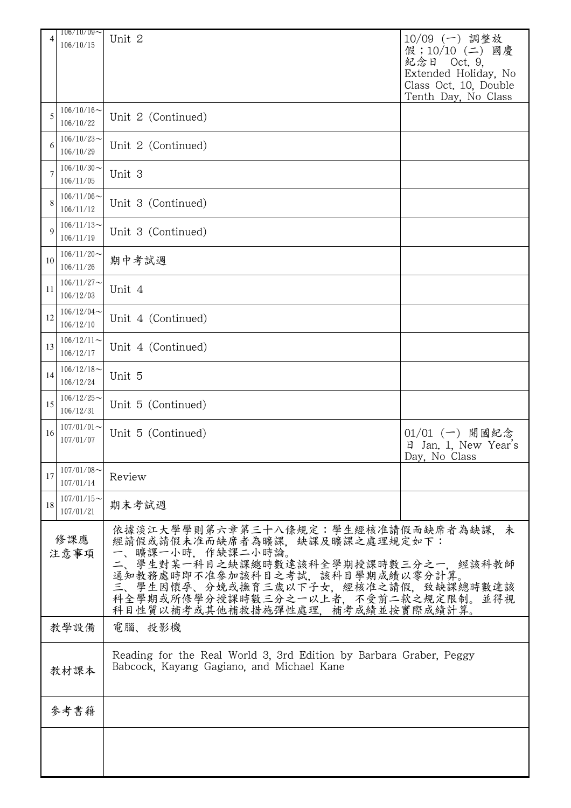| 4              | $106/10/09$ ~<br>106/10/15    | Unit 2                                                                                                                                                                                                                                                                                   | $10/09$ (一) 調整放<br>假;10/10 (二) 國慶<br>Oct. 9,<br>紀念日<br>Extended Holiday, No<br>Class Oct. 10, Double<br>Tenth Day, No Class |  |
|----------------|-------------------------------|------------------------------------------------------------------------------------------------------------------------------------------------------------------------------------------------------------------------------------------------------------------------------------------|-----------------------------------------------------------------------------------------------------------------------------|--|
| 5              | $106/10/16$ ~<br>106/10/22    | Unit 2 (Continued)                                                                                                                                                                                                                                                                       |                                                                                                                             |  |
| 6              | $106/10/23$ ~<br>106/10/29    | Unit 2 (Continued)                                                                                                                                                                                                                                                                       |                                                                                                                             |  |
| $\overline{7}$ | $106/10/30$ ~<br>106/11/05    | Unit 3                                                                                                                                                                                                                                                                                   |                                                                                                                             |  |
| 8              | $106/11/06 \sim$<br>106/11/12 | Unit 3 (Continued)                                                                                                                                                                                                                                                                       |                                                                                                                             |  |
| 9              | $106/11/13$ ~<br>106/11/19    | Unit 3 (Continued)                                                                                                                                                                                                                                                                       |                                                                                                                             |  |
| 10             | $106/11/20$ ~<br>106/11/26    | 期中考試週                                                                                                                                                                                                                                                                                    |                                                                                                                             |  |
| 11             | $106/11/27$ ~<br>106/12/03    | Unit 4                                                                                                                                                                                                                                                                                   |                                                                                                                             |  |
| 12             | $106/12/04$ ~<br>106/12/10    | Unit 4 (Continued)                                                                                                                                                                                                                                                                       |                                                                                                                             |  |
| 13             | $106/12/11$ ~<br>106/12/17    | Unit 4 (Continued)                                                                                                                                                                                                                                                                       |                                                                                                                             |  |
| 14             | $106/12/18$ ~<br>106/12/24    | Unit 5                                                                                                                                                                                                                                                                                   |                                                                                                                             |  |
| 15             | $106/12/25$ ~<br>106/12/31    | Unit 5 (Continued)                                                                                                                                                                                                                                                                       |                                                                                                                             |  |
| 16             | $107/01/01$ ~<br>107/01/07    | Unit 5 (Continued)                                                                                                                                                                                                                                                                       | $01/01$ (一) 開國紀念<br>日 Jan. 1. New Year's<br>Day, No Class                                                                   |  |
| 17             | $107/01/08$ ~<br>107/01/14    | Review                                                                                                                                                                                                                                                                                   |                                                                                                                             |  |
| 18             | $107/01/15$ ~<br>107/01/21    | 期末考試週                                                                                                                                                                                                                                                                                    |                                                                                                                             |  |
| 修課應<br>注意事項    |                               | 依據淡江大學學則第六章第三十八條規定:學生經核准請假而缺席者為缺課,未<br>經請假或請假未准而缺席者為曠課、缺課及曠課之處理規定如下:<br>一、曠課一小時,作缺課二小時論。<br>二、學生對某一科目之缺課總時數達該科全學期授課時數三分之一,經該科教師<br>通知教務處時即不准參加該科目之考試,該科目學期成績以零分計算。<br>學生因懷孕、分娩或撫育三歲以下子女,經核准之請假,致缺課總時數達該<br>三、<br>科全學期或所修學分授課時數三分之一以上者,不受前二款之規定限制。並得視<br>科目性質以補考或其他補救措施彈性處理,補考成績並按實際成績計算。 |                                                                                                                             |  |
| 教學設備<br>電腦、投影機 |                               |                                                                                                                                                                                                                                                                                          |                                                                                                                             |  |
| 教材課本           |                               | Reading for the Real World 3, 3rd Edition by Barbara Graber, Peggy<br>Babcock, Kayang Gagiano, and Michael Kane                                                                                                                                                                          |                                                                                                                             |  |
|                | 參考書籍                          |                                                                                                                                                                                                                                                                                          |                                                                                                                             |  |
|                |                               |                                                                                                                                                                                                                                                                                          |                                                                                                                             |  |